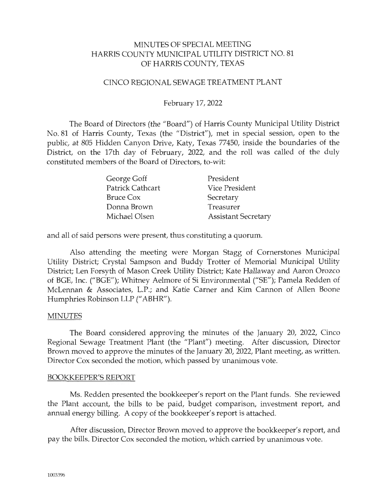## MINUTES OF SPECIAL MEETING HARRIS COUNTY MUNICIPAL UTILITY DISTRICT NO. 81 OF HARRIS COUNTY, TEXAS

## CINCO REGIONAL SEWAGE TREATMENT PLANT

## February 17, 2022

The Board of Directors (the "Board") of Harris County Municipal Utility District No. 81 of Harris County, Texas (the "District"), met in special session, open to the public, at 805 Hidden Canyon Drive, Katy, Texas 77450, inside the boundaries of the District, on the 17th day of February, 2022, and the roll was called of the duly constituted members of the Board of Directors, to-wit:

| George Goff             | President                  |
|-------------------------|----------------------------|
| <b>Patrick Cathcart</b> | <b>Vice President</b>      |
| Bruce Cox               | Secretary                  |
| Donna Brown             | Treasurer                  |
| Michael Olsen           | <b>Assistant Secretary</b> |

and all of said persons were present, thus constituting a quorum.

Also attending the meeting were Morgan Stagg of Cornerstones Municipal Utility District; Crystal Sampson and Buddy Trotter of Memorial Municipal Utility District; Len Forsyth of Mason Creek Utility District; Kate Hallaway and Aaron Orozco of BGE, Inc. ("BGE"); Whitney Aelmore of Si Environmental ("SE"); Pamela Redden of McLennan & Associates, L.P.; and Katie Carner and Kim Cannon of Allen Boone Humphries Robinson LLP (" ABHR").

#### MINUTES

The Board considered approving the minutes of the January 20, 2022, Cinco Regional Sewage Treatment Plant (the "Plant") meeting. After discussion, Director Brown moved to approve the minutes of the January 20, 2022, Plant meeting, as written. Director Cox seconded the motion, which passed by unanimous vote.

#### BOOKKEEPER'S REPORT

Ms. Redden presented the bookkeeper's report on the Plant funds. She reviewed the Plant account, the bills to be paid, budget comparison, investment report, and annual energy billing. A copy of the bookkeeper's report is attached.

After discussion, Director Brown moved to approve the bookkeeper's report, and pay the bills. Director Cox seconded the motion, which carried by unanimous vote.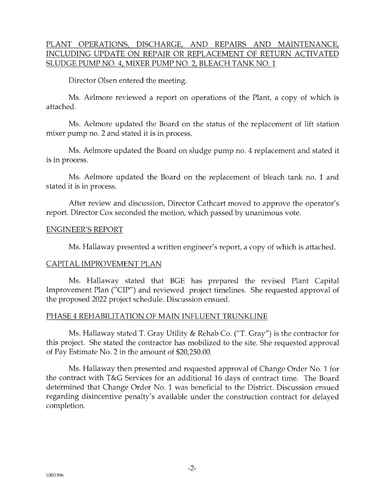# PLANT OPERATIONS, DISCHARGE, AND REPAIRS AND MAINTENANCE, INCLUDING UPDATE ON REPAIR OR REPLACEMENT OF RETURN ACTIVATED SLUDGE PUMP NO. 4, MIXER PUMP NO. 2, BLEACH TANK NO. 1

Director Olsen entered the meeting.

Ms. Aelmore reviewed a report on operations of the Plant, a copy of which is attached.

Ms. Aelmore updated the Board on the status of the replacement of lift station mixer pump no. 2 and stated it is in process.

Ms. Aelmore updated the Board on sludge pump no. 4 replacement and stated it is in process.

Ms. Aelmore updated the Board on the replacement of bleach tank no. 1 and stated it is in process.

After review and discussion, Director Cathcart moved to approve the operator's report. Director Cox seconded the motion, which passed by unanimous vote.

## ENGINEER'S REPORT

Ms. Hallaway presented a written engineer's report, a copy of which is attached.

## CAPITAL IMPROVEMENT PLAN

Ms. Hallaway stated that BGE has prepared the revised Plant Capital Improvement Plan ("CIP") and reviewed project timelines. She requested approval of the proposed 2022 project schedule. Discussion ensued.

# PHASE 4 REHABILITATION OF MAIN INFLUENT TRUNKLINE

Ms. Hallaway stated T. Gray Utility & Rehab Co. ("T. Gray") is the contractor for this project. She stated the contractor has mobilized to the site. She requested approval of Pay Estimate No. 2 in the amount of \$20,250.00.

Ms. Hallaway then presented and requested approval of Change Order No. 1 for the contract with T&G Services for an additional 16 days of contract time. The Board determined that Change Order No. 1 was beneficial to the District. Discussion ensued regarding disincentive penalty's available under the construction contract for delayed completion.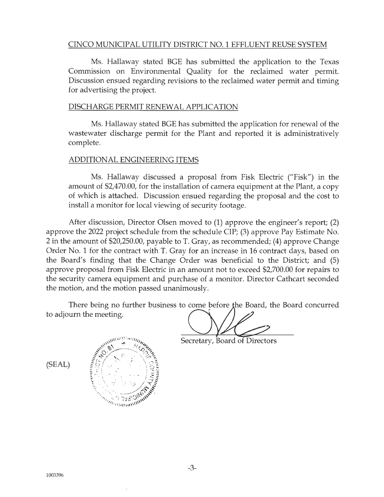#### CINCO MUNICIPAL UTILITY DISTRICT NO. 1 EFFLUENT REUSE SYSTEM

Ms. Hallaway stated BGE has submitted the application to the Texas Commission on Environmental Quality for the reclaimed water permit. Discussion ensued regarding revisions to the reclaimed water permit and timing for advertising the project.

#### DISCHARGE PERMIT RENEWAL APPLICATION

Ms. Hallaway stated BGE has submitted the application for renewal of the wastewater discharge permit for the Plant and reported it is administratively complete.

#### ADDITIONAL ENGINEERING ITEMS

Ms. Hallaway discussed a proposal from Fisk Electric ("Fisk") in the amount of \$2,470.00, for the installation of camera equipment at the Plant, a copy of which is attached. Discussion ensued regarding the proposal and the cost to install a monitor for local viewing of security footage.

After discussion, Director Olsen moved to (1) approve the engineer's report; (2) approve the 2022 project schedule from the schedule CIP; (3) approve Pay Estimate No. 2 in the amount of \$20,250.00, payable to T. Gray, as recommended; (4) approve Change Order No. 1 for the contract with T. Gray for an increase in 16 contract days, based on the Board's finding that the Change Order was beneficial to the District; and (5) approve proposal from Fisk Electric in an amount not to exceed \$2,700.00 for repairs to the security camera equipment and purchase of a monitor. Director Cathcart seconded the motion, and the motion passed unanimously.

There being no further business to come before the Board, the Board concurred to adjourn the meeting.

Secretary, Board of Directors

(SEAL)